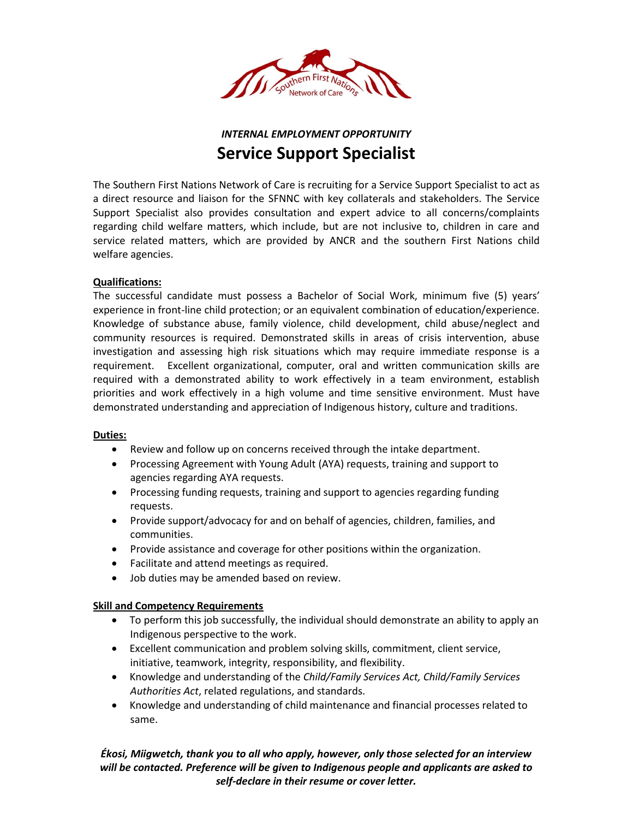

# *INTERNAL EMPLOYMENT OPPORTUNITY* **Service Support Specialist**

The Southern First Nations Network of Care is recruiting for a Service Support Specialist to act as a direct resource and liaison for the SFNNC with key collaterals and stakeholders. The Service Support Specialist also provides consultation and expert advice to all concerns/complaints regarding child welfare matters, which include, but are not inclusive to, children in care and service related matters, which are provided by ANCR and the southern First Nations child welfare agencies.

## **Qualifications:**

The successful candidate must possess a Bachelor of Social Work, minimum five (5) years' experience in front-line child protection; or an equivalent combination of education/experience. Knowledge of substance abuse, family violence, child development, child abuse/neglect and community resources is required. Demonstrated skills in areas of crisis intervention, abuse investigation and assessing high risk situations which may require immediate response is a requirement. Excellent organizational, computer, oral and written communication skills are required with a demonstrated ability to work effectively in a team environment, establish priorities and work effectively in a high volume and time sensitive environment. Must have demonstrated understanding and appreciation of Indigenous history, culture and traditions.

#### **Duties:**

- Review and follow up on concerns received through the intake department.
- Processing Agreement with Young Adult (AYA) requests, training and support to agencies regarding AYA requests.
- Processing funding requests, training and support to agencies regarding funding requests.
- Provide support/advocacy for and on behalf of agencies, children, families, and communities.
- Provide assistance and coverage for other positions within the organization.
- Facilitate and attend meetings as required.
- Job duties may be amended based on review.

#### **Skill and Competency Requirements**

- To perform this job successfully, the individual should demonstrate an ability to apply an Indigenous perspective to the work.
- Excellent communication and problem solving skills, commitment, client service, initiative, teamwork, integrity, responsibility, and flexibility.
- Knowledge and understanding of the *Child/Family Services Act, Child/Family Services Authorities Act*, related regulations, and standards.
- Knowledge and understanding of child maintenance and financial processes related to same.

*Ékosi, Miigwetch, thank you to all who apply, however, only those selected for an interview will be contacted. Preference will be given to Indigenous people and applicants are asked to self-declare in their resume or cover letter.*